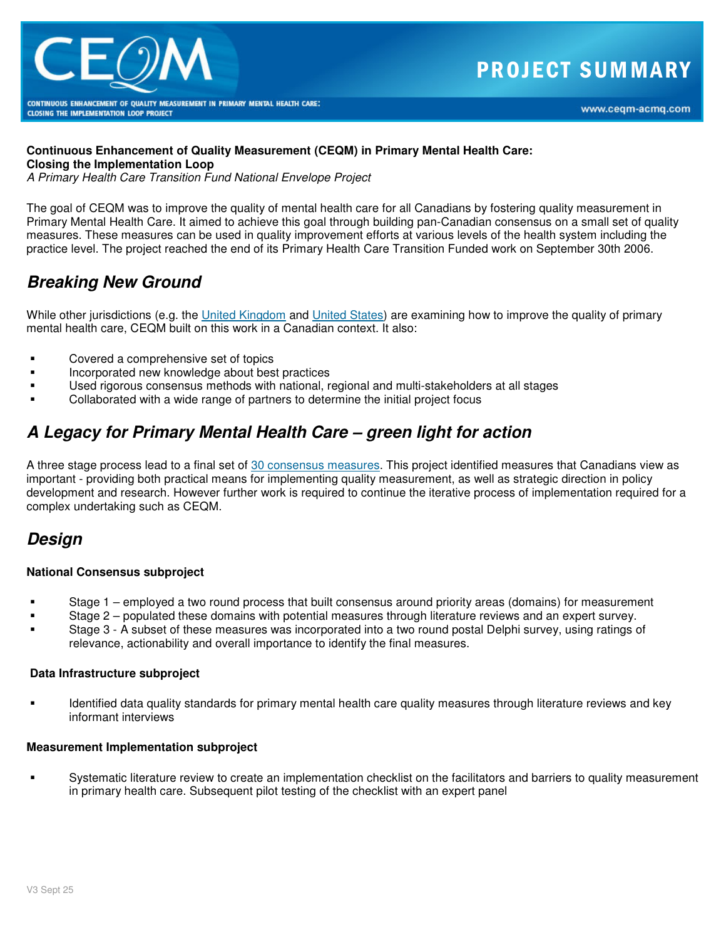

## **Continuous Enhancement of Quality Measurement (CEQM) in Primary Mental Health Care:**

**Closing the Implementation Loop** 

A Primary Health Care Transition Fund National Envelope Project

The goal of CEQM was to improve the quality of mental health care for all Canadians by fostering quality measurement in Primary Mental Health Care. It aimed to achieve this goal through building pan-Canadian consensus on a small set of quality measures. These measures can be used in quality improvement efforts at various levels of the health system including the practice level. The project reached the end of its Primary Health Care Transition Funded work on September 30th 2006.

## **Breaking New Ground**

While other jurisdictions (e.g. the United Kingdom and United States) are examining how to improve the quality of primary mental health care, CEQM built on this work in a Canadian context. It also:

- **EXECOVERED A** Covered a comprehensive set of topics
- Incorporated new knowledge about best practices
- Used rigorous consensus methods with national, regional and multi-stakeholders at all stages
- Collaborated with a wide range of partners to determine the initial project focus

# **A Legacy for Primary Mental Health Care – green light for action**

A three stage process lead to a final set of 30 consensus measures. This project identified measures that Canadians view as important - providing both practical means for implementing quality measurement, as well as strategic direction in policy development and research. However further work is required to continue the iterative process of implementation required for a complex undertaking such as CEQM.

## **Design**

### **National Consensus subproject**

- Stage 1 employed a two round process that built consensus around priority areas (domains) for measurement
- Stage 2 populated these domains with potential measures through literature reviews and an expert survey.
- Stage 3 A subset of these measures was incorporated into a two round postal Delphi survey, using ratings of relevance, actionability and overall importance to identify the final measures.

#### **Data Infrastructure subproject**

 Identified data quality standards for primary mental health care quality measures through literature reviews and key informant interviews

#### **Measurement Implementation subproject**

 Systematic literature review to create an implementation checklist on the facilitators and barriers to quality measurement in primary health care. Subsequent pilot testing of the checklist with an expert panel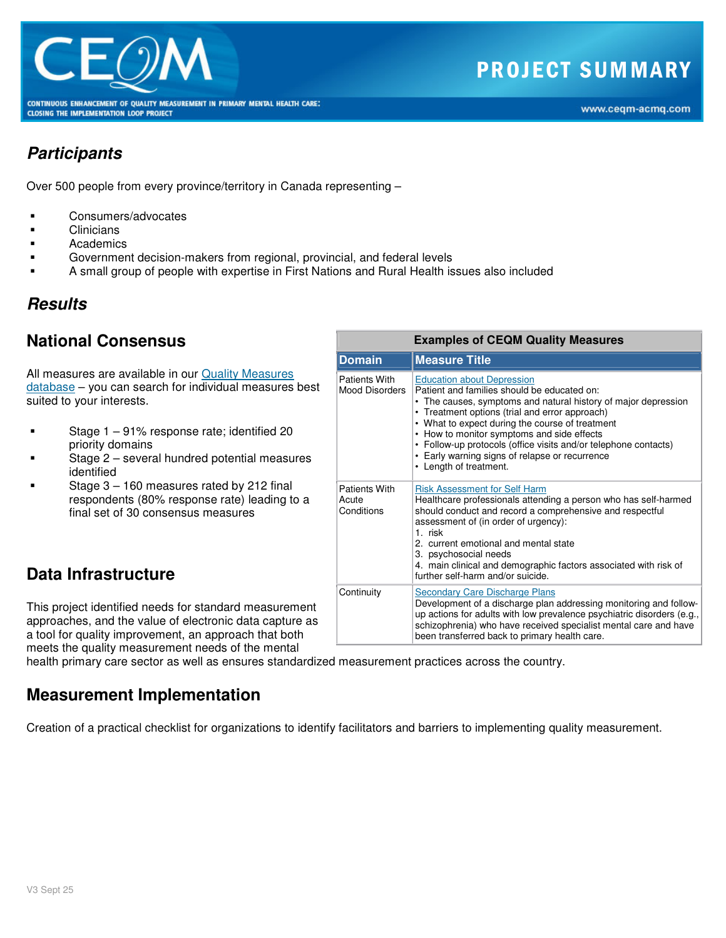

## **Participants**

Over 500 people from every province/territory in Canada representing –

- Consumers/advocates
- **Clinicians**
- Academics
- Government decision-makers from regional, provincial, and federal levels
- A small group of people with expertise in First Nations and Rural Health issues also included

## **Results**

## **National Consensus**

All measures are available in our Quality Measures database – you can search for individual measures best suited to your interests.

- Stage 1 91% response rate; identified 20 priority domains
- Stage 2 several hundred potential measures identified
- Stage 3 160 measures rated by 212 final respondents (80% response rate) leading to a final set of 30 consensus measures

## **Data Infrastructure**

This project identified needs for standard measurement approaches, and the value of electronic data capture as a tool for quality improvement, an approach that both meets the quality measurement needs of the mental

health primary care sector as well as ensures standardized measurement practices across the country.

## **Measurement Implementation**

Creation of a practical checklist for organizations to identify facilitators and barriers to implementing quality measurement.

| <b>Examples of CEQM Quality Measures</b>    |                                                                                                                                                                                                                                                                                                                                                                                                                                                      |
|---------------------------------------------|------------------------------------------------------------------------------------------------------------------------------------------------------------------------------------------------------------------------------------------------------------------------------------------------------------------------------------------------------------------------------------------------------------------------------------------------------|
| <b>Domain</b>                               | <b>Measure Title</b>                                                                                                                                                                                                                                                                                                                                                                                                                                 |
| Patients With<br><b>Mood Disorders</b>      | <b>Education about Depression</b><br>Patient and families should be educated on:<br>• The causes, symptoms and natural history of major depression<br>• Treatment options (trial and error approach)<br>• What to expect during the course of treatment<br>• How to monitor symptoms and side effects<br>• Follow-up protocols (office visits and/or telephone contacts)<br>• Early warning signs of relapse or recurrence<br>• Length of treatment. |
| <b>Patients With</b><br>Acute<br>Conditions | <b>Risk Assessment for Self Harm</b><br>Healthcare professionals attending a person who has self-harmed<br>should conduct and record a comprehensive and respectful<br>assessment of (in order of urgency):<br>1. risk<br>2. current emotional and mental state<br>3. psychosocial needs<br>4. main clinical and demographic factors associated with risk of<br>further self-harm and/or suicide.                                                    |
| Continuity                                  | <b>Secondary Care Discharge Plans</b><br>Development of a discharge plan addressing monitoring and follow-<br>up actions for adults with low prevalence psychiatric disorders (e.g.,<br>schizophrenia) who have received specialist mental care and have<br>been transferred back to primary health care.                                                                                                                                            |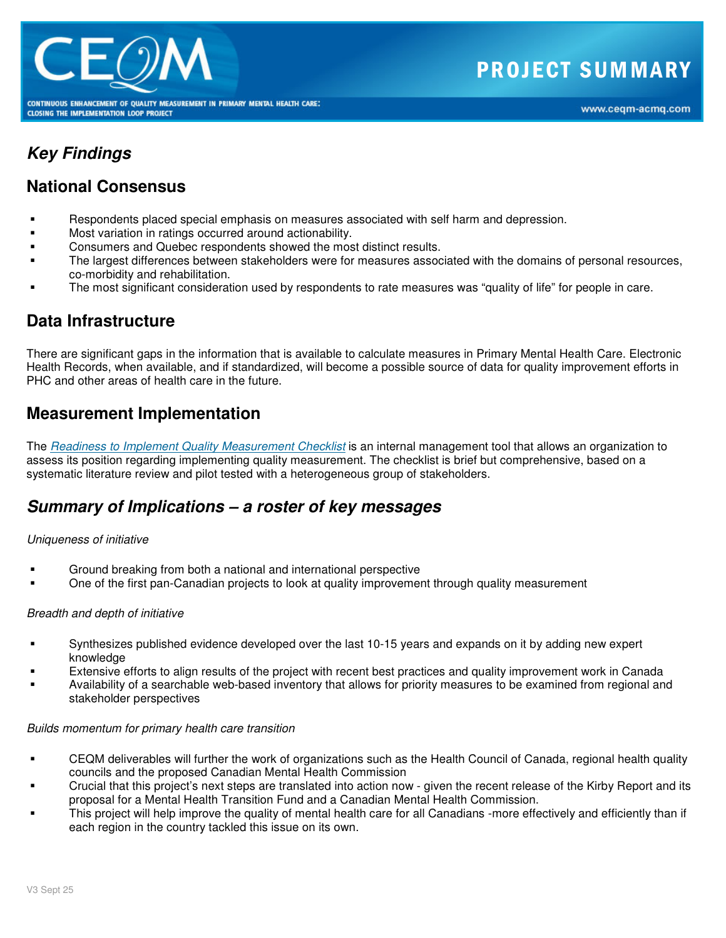

## **Key Findings**

### **National Consensus**

- Respondents placed special emphasis on measures associated with self harm and depression.
- Most variation in ratings occurred around actionability.
- Consumers and Quebec respondents showed the most distinct results.
- The largest differences between stakeholders were for measures associated with the domains of personal resources, co-morbidity and rehabilitation.
- The most significant consideration used by respondents to rate measures was "quality of life" for people in care.

## **Data Infrastructure**

There are significant gaps in the information that is available to calculate measures in Primary Mental Health Care. Electronic Health Records, when available, and if standardized, will become a possible source of data for quality improvement efforts in PHC and other areas of health care in the future.

### **Measurement Implementation**

The Readiness to Implement Quality Measurement Checklist is an internal management tool that allows an organization to assess its position regarding implementing quality measurement. The checklist is brief but comprehensive, based on a systematic literature review and pilot tested with a heterogeneous group of stakeholders.

### **Summary of Implications – a roster of key messages**

### Uniqueness of initiative

- Ground breaking from both a national and international perspective
- One of the first pan-Canadian projects to look at quality improvement through quality measurement

### Breadth and depth of initiative

- Synthesizes published evidence developed over the last 10-15 years and expands on it by adding new expert knowledge
- Extensive efforts to align results of the project with recent best practices and quality improvement work in Canada
- Availability of a searchable web-based inventory that allows for priority measures to be examined from regional and stakeholder perspectives

#### Builds momentum for primary health care transition

- CEQM deliverables will further the work of organizations such as the Health Council of Canada, regional health quality councils and the proposed Canadian Mental Health Commission
- Crucial that this project's next steps are translated into action now given the recent release of the Kirby Report and its proposal for a Mental Health Transition Fund and a Canadian Mental Health Commission.
- This project will help improve the quality of mental health care for all Canadians -more effectively and efficiently than if each region in the country tackled this issue on its own.